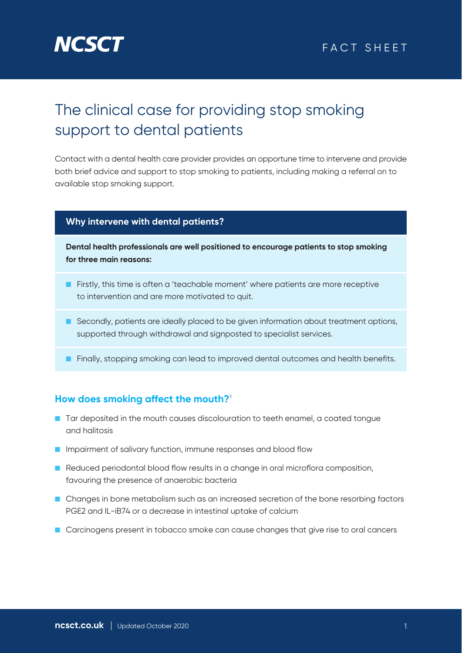

# The clinical case for providing stop smoking support to dental patients

Contact with a dental health care provider provides an opportune time to intervene and provide both brief advice and support to stop smoking to patients, including making a referral on to available stop smoking support.

### **Why intervene with dental patients?**

**Dental health professionals are well positioned to encourage patients to stop smoking for three main reasons:**

- Firstly, this time is often a 'teachable moment' where patients are more receptive to intervention and are more motivated to quit.
- Secondly, patients are ideally placed to be given information about treatment options, supported through withdrawal and signposted to specialist services.

■ Finally, stopping smoking can lead to improved dental outcomes and health benefits.

### **How does smoking affect the mouth?**<sup>1</sup>

- Tar deposited in the mouth causes discolouration to teeth enamel, a coated tongue and halitosis
- Impairment of salivary function, immune responses and blood flow
- Reduced periodontal blood flow results in a change in oral microflora composition, favouring the presence of anaerobic bacteria
- Changes in bone metabolism such as an increased secretion of the bone resorbing factors PGE2 and IL-iB74 or a decrease in intestinal uptake of calcium
- Carcinogens present in tobacco smoke can cause changes that give rise to oral cancers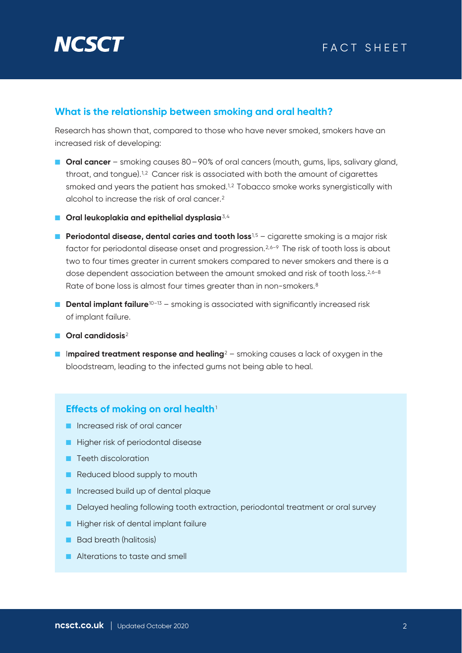

### **What is the relationship between smoking and oral health?**

Research has shown that, compared to those who have never smoked, smokers have an increased risk of developing:

- **Oral cancer** smoking causes 80 90% of oral cancers (mouth, gums, lips, salivary gland, throat, and tongue).<sup>1,2</sup> Cancer risk is associated with both the amount of cigarettes smoked and years the patient has smoked.<sup>1,2</sup> Tobacco smoke works synergistically with alcohol to increase the risk of oral cancer.2
- **Oral leukoplakia and epithelial dysplasia**<sup>3,4</sup>
- **Periodontal disease, dental caries and tooth loss**<sup>1,5</sup> cigarette smoking is a major risk factor for periodontal disease onset and progression.<sup>2,6–9</sup> The risk of tooth loss is about two to four times greater in current smokers compared to never smokers and there is a dose dependent association between the amount smoked and risk of tooth loss.<sup>2,6–8</sup> Rate of bone loss is almost four times greater than in non-smokers.<sup>8</sup>
- **Dental implant failure**<sup>10-13</sup> smoking is associated with significantly increased risk of implant failure.
- **Oral candidosis**<sup>2</sup>
- Impaired treatment response and healing<sup>2</sup> smoking causes a lack of oxygen in the bloodstream, leading to the infected gums not being able to heal.

#### **Effects of moking on oral health**<sup>1</sup>

- Increased risk of oral cancer
- Higher risk of periodontal disease
- Teeth discoloration
- Reduced blood supply to mouth
- Increased build up of dental plaque
- Delayed healing following tooth extraction, periodontal treatment or oral survey
- Higher risk of dental implant failure
- Bad breath (halitosis)
- Alterations to taste and smell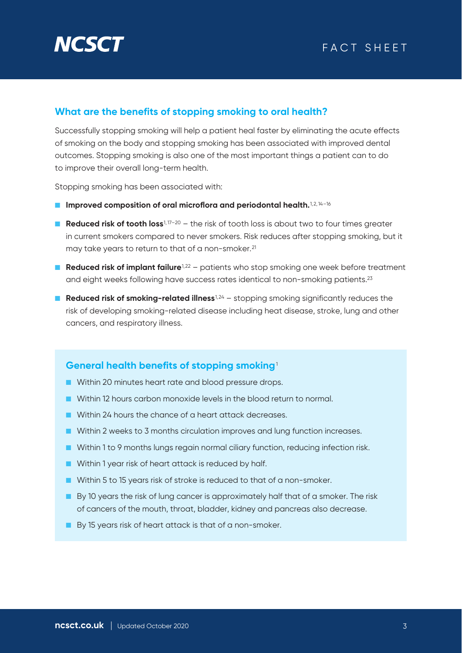

### **What are the benefits of stopping smoking to oral health?**

Successfully stopping smoking will help a patient heal faster by eliminating the acute effects of smoking on the body and stopping smoking has been associated with improved dental outcomes. Stopping smoking is also one of the most important things a patient can to do to improve their overall long-term health.

Stopping smoking has been associated with:

- Improved composition of oral microflora and periodontal health.<sup>1,2,14-16</sup>
- **Reduced risk of tooth loss**<sup>1, 17-20</sup> the risk of tooth loss is about two to four times greater in current smokers compared to never smokers. Risk reduces after stopping smoking, but it may take years to return to that of a non-smoker.<sup>21</sup>
- **Reduced risk of implant failure**<sup>1,22</sup> patients who stop smoking one week before treatment and eight weeks following have success rates identical to non-smoking patients.<sup>23</sup>
- **Reduced risk of smoking-related illness**<sup>1,24</sup> stopping smoking significantly reduces the risk of developing smoking-related disease including heat disease, stroke, lung and other cancers, and respiratory illness.

### **General health benefits of stopping smoking**<sup>1</sup>

- Within 20 minutes heart rate and blood pressure drops.
- Within 12 hours carbon monoxide levels in the blood return to normal.
- Within 24 hours the chance of a heart attack decreases.
- Within 2 weeks to 3 months circulation improves and lung function increases.
- Within 1 to 9 months lungs regain normal ciliary function, reducing infection risk.
- Within 1 year risk of heart attack is reduced by half.
- Within 5 to 15 years risk of stroke is reduced to that of a non-smoker.
- By 10 years the risk of lung cancer is approximately half that of a smoker. The risk of cancers of the mouth, throat, bladder, kidney and pancreas also decrease.
- By 15 years risk of heart attack is that of a non-smoker.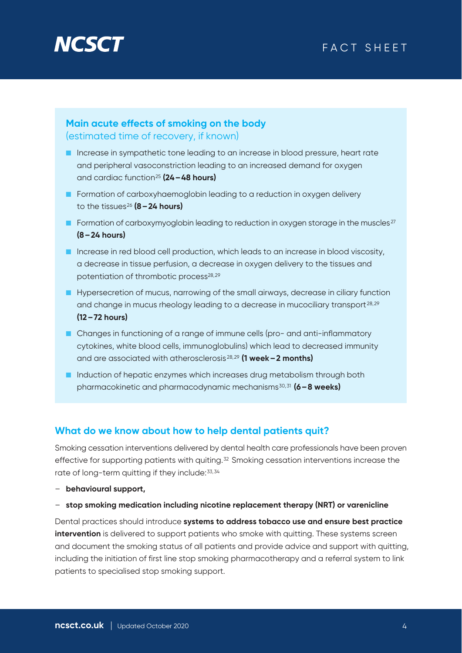

# FACT SHEET

### **Main acute effects of smoking on the body** (estimated time of recovery, if known)

- Increase in sympathetic tone leading to an increase in blood pressure, heart rate and peripheral vasoconstriction leading to an increased demand for oxygen and cardiac function25 **(24–48 hours)**
- Formation of carboxyhaemoglobin leading to a reduction in oxygen delivery to the tissues26 **(8–24 hours)**
- **■** Formation of carboxymyoglobin leading to reduction in oxygen storage in the muscles<sup>27</sup> **(8–24 hours)**
- Increase in red blood cell production, which leads to an increase in blood viscosity, a decrease in tissue perfusion, a decrease in oxygen delivery to the tissues and potentiation of thrombotic process<sup>28,29</sup>
- Hypersecretion of mucus, narrowing of the small airways, decrease in ciliary function and change in mucus rheology leading to a decrease in mucociliary transport 28,29 **(12–72 hours)**
- Changes in functioning of a range of immune cells (pro- and anti-inflammatory cytokines, white blood cells, immunoglobulins) which lead to decreased immunity and are associated with atherosclerosis 28,29 **(1 week–2 months)**
- Induction of hepatic enzymes which increases drug metabolism through both pharmacokinetic and pharmacodynamic mechanisms30,31 **(6–8 weeks)**

### **What do we know about how to help dental patients quit?**

Smoking cessation interventions delivered by dental health care professionals have been proven effective for supporting patients with quiting.<sup>32</sup> Smoking cessation interventions increase the rate of long-term quitting if they include:33,34

- **behavioural support,**
- **stop smoking medication including nicotine replacement therapy (NRT) or varenicline**

Dental practices should introduce **systems to address tobacco use and ensure best practice intervention** is delivered to support patients who smoke with quitting. These systems screen and document the smoking status of all patients and provide advice and support with quitting, including the initiation of first line stop smoking pharmacotherapy and a referral system to link patients to specialised stop smoking support.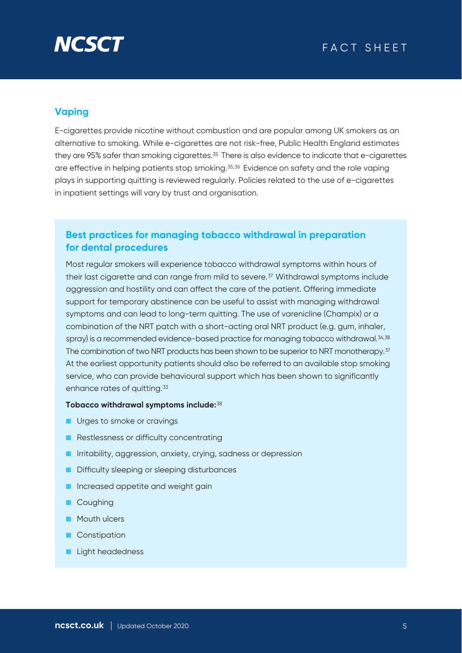

# **Vaping**

E-cigarettes provide nicotine without combustion and are popular among UK smokers as an alternative to smoking. While e-cigarettes are not risk-free, Public Health England estimates they are 95% safer than smoking cigarettes.<sup>35</sup> There is also evidence to indicate that e-cigarettes are effective in helping patients stop smoking.35,36 Evidence on safety and the role vaping plays in supporting quitting is reviewed regularly. Policies related to the use of e-cigarettes in inpatient settings will vary by trust and organisation.

### **Best practices for managing tobacco withdrawal in preparation for dental procedures**

Most regular smokers will experience tobacco withdrawal symptoms within hours of their last cigarette and can range from mild to severe.<sup>37</sup> Withdrawal symptoms include aggression and hostility and can affect the care of the patient. Offering immediate support for temporary abstinence can be useful to assist with managing withdrawal symptoms and can lead to long-term quitting. The use of varenicline (Champix) or a combination of the NRT patch with a short-acting oral NRT product (e.g. gum, inhaler, spray) is a recommended evidence-based practice for managing tobacco withdrawal.<sup>34,38</sup> The combination of two NRT products has been shown to be superior to NRT monotherapy.<sup>37</sup> At the earliest opportunity patients should also be referred to an available stop smoking service, who can provide behavioural support which has been shown to significantly enhance rates of quitting.<sup>33</sup>

#### **Tobacco withdrawal symptoms include:**<sup>38</sup>

- Urges to smoke or cravings
- Restlessness or difficulty concentrating
- Irritability, aggression, anxiety, crying, sadness or depression
- Difficulty sleeping or sleeping disturbances
- Increased appetite and weight gain
- Coughing
- Mouth ulcers
- Constipation
- Light headedness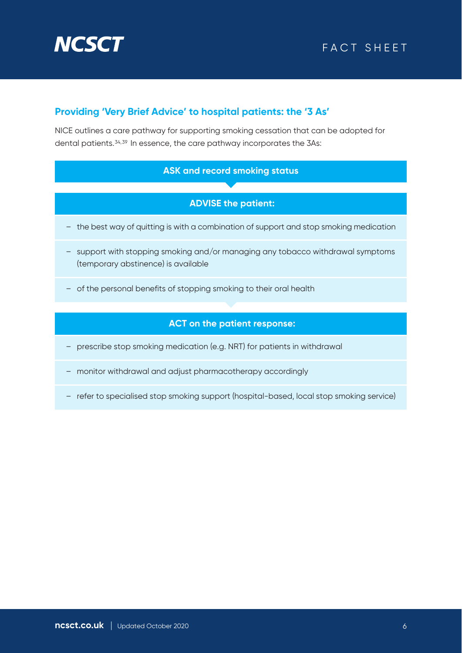

# FACT SHEET

## **Providing 'Very Brief Advice' to hospital patients: the '3 As'**

NICE outlines a care pathway for supporting smoking cessation that can be adopted for dental patients.34,39 In essence, the care pathway incorporates the 3As:

### **ASK and record smoking status**

### **ADVISE the patient:**

- the best way of quitting is with a combination of support and stop smoking medication
- support with stopping smoking and/or managing any tobacco withdrawal symptoms (temporary abstinence) is available
- of the personal benefits of stopping smoking to their oral health

#### **ACT on the patient response:**

- prescribe stop smoking medication (e.g. NRT) for patients in withdrawal
- monitor withdrawal and adjust pharmacotherapy accordingly
- refer to specialised stop smoking support (hospital-based, local stop smoking service)